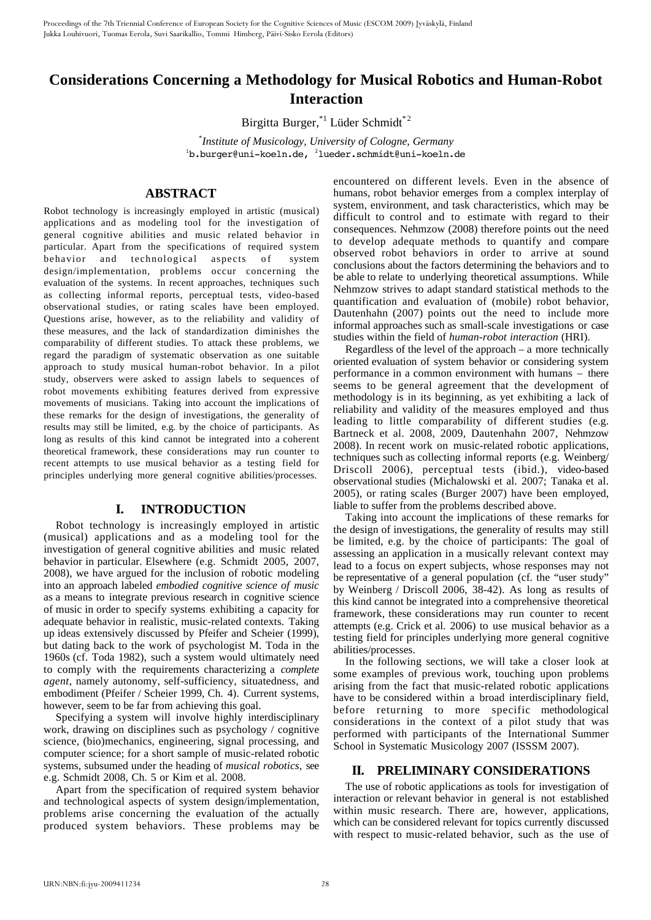# **Considerations Concerning a Methodology for Musical Robotics and Human-Robot Interaction**

Birgitta Burger,<sup>\*1</sup> Lüder Schmidt<sup>\*2</sup>

\* *Institute of Musicology, University of Cologne, Germany* <sup>1</sup>b.burger@uni-koeln.de, <sup>2</sup>lueder.schmidt@uni-koeln.de

# **ABSTRACT**

Robot technology is increasingly employed in artistic (musical) applications and as modeling tool for the investigation of general cognitive abilities and music related behavior in particular. Apart from the specifications of required system behavior and technological aspects of system design/implementation, problems occur concerning the evaluation of the systems. In recent approaches, techniques such as collecting informal reports, perceptual tests, video-based observational studies, or rating scales have been employed. Questions arise, however, as to the reliability and validity of these measures, and the lack of standardization diminishes the comparability of different studies. To attack these problems, we regard the paradigm of systematic observation as one suitable approach to study musical human-robot behavior. In a pilot study, observers were asked to assign labels to sequences of robot movements exhibiting features derived from expressive movements of musicians. Taking into account the implications of these remarks for the design of investigations, the generality of results may still be limited, e.g. by the choice of participants. As long as results of this kind cannot be integrated into a coherent theoretical framework, these considerations may run counter to recent attempts to use musical behavior as a testing field for principles underlying more general cognitive abilities/processes.

## **I. INTRODUCTION**

Robot technology is increasingly employed in artistic (musical) applications and as a modeling tool for the investigation of general cognitive abilities and music related behavior in particular. Elsewhere (e.g. Schmidt 2005, 2007, 2008), we have argued for the inclusion of robotic modeling into an approach labeled *embodied cognitive science of music* as a means to integrate previous research in cognitive science of music in order to specify systems exhibiting a capacity for adequate behavior in realistic, music-related contexts. Taking up ideas extensively discussed by Pfeifer and Scheier (1999), but dating back to the work of psychologist M. Toda in the 1960s (cf. Toda 1982), such a system would ultimately need to comply with the requirements characterizing a *complete agent*, namely autonomy, self-sufficiency, situatedness, and embodiment (Pfeifer / Scheier 1999, Ch. 4). Current systems, however, seem to be far from achieving this goal.

Specifying a system will involve highly interdisciplinary work, drawing on disciplines such as psychology / cognitive science, (bio)mechanics, engineering, signal processing, and computer science; for a short sample of music-related robotic systems, subsumed under the heading of *musical robotics*, see e.g. Schmidt 2008, Ch. 5 or Kim et al. 2008.

Apart from the specification of required system behavior and technological aspects of system design/implementation, problems arise concerning the evaluation of the actually produced system behaviors. These problems may be

encountered on different levels. Even in the absence of humans, robot behavior emerges from a complex interplay of system, environment, and task characteristics, which may be difficult to control and to estimate with regard to their consequences. Nehmzow (2008) therefore points out the need to develop adequate methods to quantify and compare observed robot behaviors in order to arrive at sound conclusions about the factors determining the behaviors and to be able to relate to underlying theoretical assumptions. While Nehmzow strives to adapt standard statistical methods to the quantification and evaluation of (mobile) robot behavior, Dautenhahn (2007) points out the need to include more informal approaches such as small-scale investigations or case studies within the field of *human-robot interaction* (HRI).

Regardless of the level of the approach – a more technically oriented evaluation of system behavior or considering system performance in a common environment with humans – there seems to be general agreement that the development of methodology is in its beginning, as yet exhibiting a lack of reliability and validity of the measures employed and thus leading to little comparability of different studies (e.g. Bartneck et al. 2008, 2009, Dautenhahn 2007, Nehmzow 2008). In recent work on music-related robotic applications, techniques such as collecting informal reports (e.g. Weinberg/ Driscoll 2006), perceptual tests (ibid.), video-based observational studies (Michalowski et al. 2007; Tanaka et al. 2005), or rating scales (Burger 2007) have been employed, liable to suffer from the problems described above.

Taking into account the implications of these remarks for the design of investigations, the generality of results may still be limited, e.g. by the choice of participants: The goal of assessing an application in a musically relevant context may lead to a focus on expert subjects, whose responses may not be representative of a general population (cf. the "user study" by Weinberg / Driscoll 2006, 38-42). As long as results of this kind cannot be integrated into a comprehensive theoretical framework, these considerations may run counter to recent attempts (e.g. Crick et al. 2006) to use musical behavior as a testing field for principles underlying more general cognitive abilities/processes.

In the following sections, we will take a closer look at some examples of previous work, touching upon problems arising from the fact that music-related robotic applications have to be considered within a broad interdisciplinary field, before returning to more specific methodological considerations in the context of a pilot study that was performed with participants of the International Summer School in Systematic Musicology 2007 (ISSSM 2007).

## **II. PRELIMINARY CONSIDERATIONS**

The use of robotic applications as tools for investigation of interaction or relevant behavior in general is not established within music research. There are, however, applications, which can be considered relevant for topics currently discussed with respect to music-related behavior, such as the use of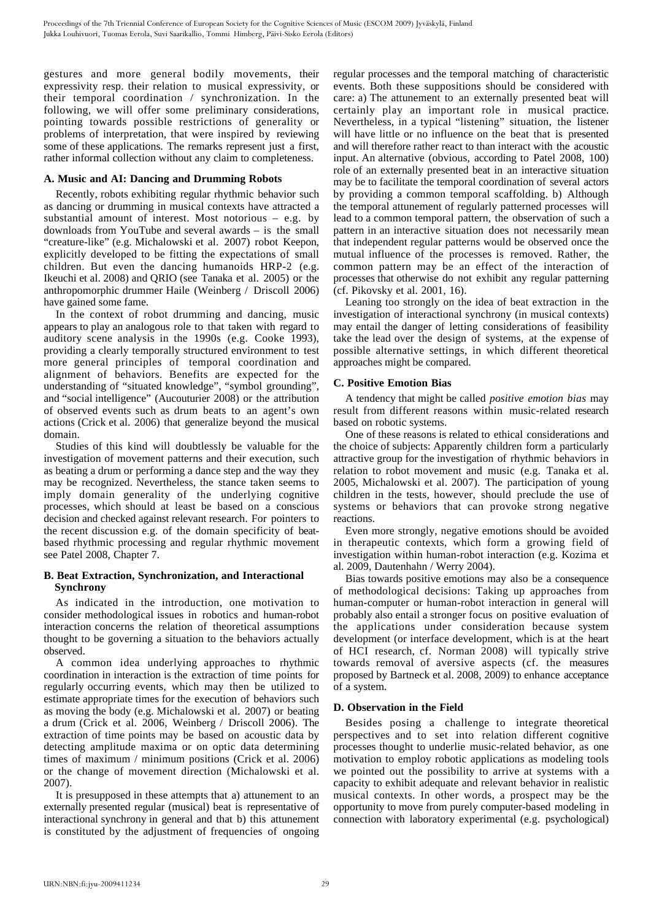gestures and more general bodily movements, their expressivity resp. their relation to musical expressivity, or their temporal coordination / synchronization. In the following, we will offer some preliminary considerations, pointing towards possible restrictions of generality or problems of interpretation, that were inspired by reviewing some of these applications. The remarks represent just a first, rather informal collection without any claim to completeness.

## **A. Music and AI: Dancing and Drumming Robots**

Recently, robots exhibiting regular rhythmic behavior such as dancing or drumming in musical contexts have attracted a substantial amount of interest. Most notorious – e.g. by downloads from YouTube and several awards – is the small "creature-like" (e.g. Michalowski et al. 2007) robot Keepon, explicitly developed to be fitting the expectations of small children. But even the dancing humanoids HRP-2 (e.g. Ikeuchi et al. 2008) and QRIO (see Tanaka et al. 2005) or the anthropomorphic drummer Haile (Weinberg / Driscoll 2006) have gained some fame.

In the context of robot drumming and dancing, music appears to play an analogous role to that taken with regard to auditory scene analysis in the 1990s (e.g. Cooke 1993), providing a clearly temporally structured environment to test more general principles of temporal coordination and alignment of behaviors. Benefits are expected for the understanding of "situated knowledge", "symbol grounding", and "social intelligence" (Aucouturier 2008) or the attribution of observed events such as drum beats to an agent's own actions (Crick et al. 2006) that generalize beyond the musical domain.

Studies of this kind will doubtlessly be valuable for the investigation of movement patterns and their execution, such as beating a drum or performing a dance step and the way they may be recognized. Nevertheless, the stance taken seems to imply domain generality of the underlying cognitive processes, which should at least be based on a conscious decision and checked against relevant research. For pointers to the recent discussion e.g. of the domain specificity of beatbased rhythmic processing and regular rhythmic movement see Patel 2008, Chapter 7.

# **B. Beat Extraction, Synchronization, and Interactional Synchrony**

As indicated in the introduction, one motivation to consider methodological issues in robotics and human-robot interaction concerns the relation of theoretical assumptions thought to be governing a situation to the behaviors actually observed.

A common idea underlying approaches to rhythmic coordination in interaction is the extraction of time points for regularly occurring events, which may then be utilized to estimate appropriate times for the execution of behaviors such as moving the body (e.g. Michalowski et al. 2007) or beating a drum (Crick et al. 2006, Weinberg / Driscoll 2006). The extraction of time points may be based on acoustic data by detecting amplitude maxima or on optic data determining times of maximum / minimum positions (Crick et al. 2006) or the change of movement direction (Michalowski et al. 2007).

It is presupposed in these attempts that a) attunement to an externally presented regular (musical) beat is representative of interactional synchrony in general and that b) this attunement is constituted by the adjustment of frequencies of ongoing

regular processes and the temporal matching of characteristic events. Both these suppositions should be considered with care: a) The attunement to an externally presented beat will certainly play an important role in musical practice. Nevertheless, in a typical "listening" situation, the listener will have little or no influence on the beat that is presented and will therefore rather react to than interact with the acoustic input. An alternative (obvious, according to Patel 2008, 100) role of an externally presented beat in an interactive situation may be to facilitate the temporal coordination of several actors by providing a common temporal scaffolding. b) Although the temporal attunement of regularly patterned processes will lead to a common temporal pattern, the observation of such a pattern in an interactive situation does not necessarily mean that independent regular patterns would be observed once the mutual influence of the processes is removed. Rather, the common pattern may be an effect of the interaction of processes that otherwise do not exhibit any regular patterning (cf. Pikovsky et al. 2001, 16).

Leaning too strongly on the idea of beat extraction in the investigation of interactional synchrony (in musical contexts) may entail the danger of letting considerations of feasibility take the lead over the design of systems, at the expense of possible alternative settings, in which different theoretical approaches might be compared.

# **C. Positive Emotion Bias**

A tendency that might be called *positive emotion bias* may result from different reasons within music-related research based on robotic systems.

One of these reasons is related to ethical considerations and the choice of subjects: Apparently children form a particularly attractive group for the investigation of rhythmic behaviors in relation to robot movement and music (e.g. Tanaka et al. 2005, Michalowski et al. 2007). The participation of young children in the tests, however, should preclude the use of systems or behaviors that can provoke strong negative reactions.

Even more strongly, negative emotions should be avoided in therapeutic contexts, which form a growing field of investigation within human-robot interaction (e.g. Kozima et al. 2009, Dautenhahn / Werry 2004).

Bias towards positive emotions may also be a consequence of methodological decisions: Taking up approaches from human-computer or human-robot interaction in general will probably also entail a stronger focus on positive evaluation of the applications under consideration because system development (or interface development, which is at the heart of HCI research, cf. Norman 2008) will typically strive towards removal of aversive aspects (cf. the measures proposed by Bartneck et al. 2008, 2009) to enhance acceptance of a system.

# **D. Observation in the Field**

Besides posing a challenge to integrate theoretical perspectives and to set into relation different cognitive processes thought to underlie music-related behavior, as one motivation to employ robotic applications as modeling tools we pointed out the possibility to arrive at systems with a capacity to exhibit adequate and relevant behavior in realistic musical contexts. In other words, a prospect may be the opportunity to move from purely computer-based modeling in connection with laboratory experimental (e.g. psychological)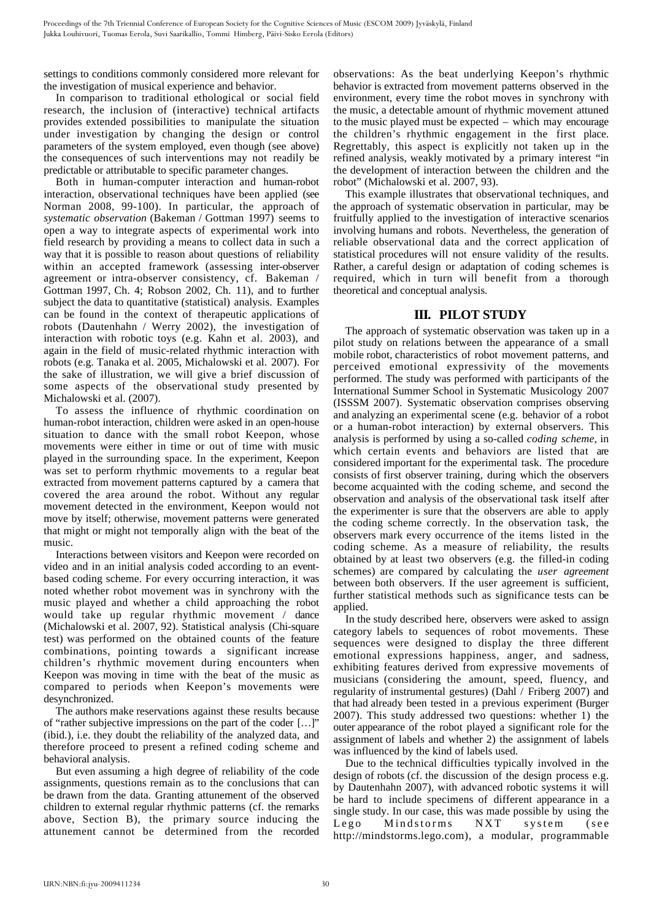settings to conditions commonly considered more relevant for the investigation of musical experience and behavior.

In comparison to traditional ethological or social field research, the inclusion of (interactive) technical artifacts provides extended possibilities to manipulate the situation under investigation by changing the design or control parameters of the system employed, even though (see above) the consequences of such interventions may not readily be predictable or attributable to specific parameter changes.

Both in human-computer interaction and human-robot interaction, observational techniques have been applied (see Norman 2008, 99-100). In particular, the approach of *systematic observation* (Bakeman / Gottman 1997) seems to open a way to integrate aspects of experimental work into field research by providing a means to collect data in such a way that it is possible to reason about questions of reliability within an accepted framework (assessing inter-observer agreement or intra-observer consistency, cf. Bakeman / Gottman 1997, Ch. 4; Robson 2002, Ch. 11), and to further subject the data to quantitative (statistical) analysis. Examples can be found in the context of therapeutic applications of robots (Dautenhahn / Werry 2002), the investigation of interaction with robotic toys (e.g. Kahn et al. 2003), and again in the field of music-related rhythmic interaction with robots (e.g. Tanaka et al. 2005, Michalowski et al. 2007). For the sake of illustration, we will give a brief discussion of some aspects of the observational study presented by Michalowski et al. (2007).

To assess the influence of rhythmic coordination on human-robot interaction, children were asked in an open-house situation to dance with the small robot Keepon, whose movements were either in time or out of time with music played in the surrounding space. In the experiment, Keepon was set to perform rhythmic movements to a regular beat extracted from movement patterns captured by a camera that covered the area around the robot. Without any regular movement detected in the environment, Keepon would not move by itself; otherwise, movement patterns were generated that might or might not temporally align with the beat of the music.

Interactions between visitors and Keepon were recorded on video and in an initial analysis coded according to an eventbased coding scheme. For every occurring interaction, it was noted whether robot movement was in synchrony with the music played and whether a child approaching the robot would take up regular rhythmic movement / dance (Michalowski et al. 2007, 92). Statistical analysis (Chi-square test) was performed on the obtained counts of the feature combinations, pointing towards a significant increase children's rhythmic movement during encounters when Keepon was moving in time with the beat of the music as compared to periods when Keepon's movements were desynchronized.

The authors make reservations against these results because of "rather subjective impressions on the part of the coder […]" (ibid.), i.e. they doubt the reliability of the analyzed data, and therefore proceed to present a refined coding scheme and behavioral analysis.

But even assuming a high degree of reliability of the code assignments, questions remain as to the conclusions that can be drawn from the data. Granting attunement of the observed children to external regular rhythmic patterns (cf. the remarks above, Section B), the primary source inducing the attunement cannot be determined from the recorded

observations: As the beat underlying Keepon's rhythmic behavior is extracted from movement patterns observed in the environment, every time the robot moves in synchrony with the music, a detectable amount of rhythmic movement attuned to the music played must be expected – which may encourage the children's rhythmic engagement in the first place. Regrettably, this aspect is explicitly not taken up in the refined analysis, weakly motivated by a primary interest "in the development of interaction between the children and the robot" (Michalowski et al. 2007, 93).

This example illustrates that observational techniques, and the approach of systematic observation in particular, may be fruitfully applied to the investigation of interactive scenarios involving humans and robots. Nevertheless, the generation of reliable observational data and the correct application of statistical procedures will not ensure validity of the results. Rather, a careful design or adaptation of coding schemes is required, which in turn will benefit from a thorough theoretical and conceptual analysis.

# **III. PILOT STUDY**

The approach of systematic observation was taken up in a pilot study on relations between the appearance of a small mobile robot, characteristics of robot movement patterns, and perceived emotional expressivity of the movements performed. The study was performed with participants of the International Summer School in Systematic Musicology 2007 (ISSSM 2007). Systematic observation comprises observing and analyzing an experimental scene (e.g. behavior of a robot or a human-robot interaction) by external observers. This analysis is performed by using a so-called *coding scheme*, in which certain events and behaviors are listed that are considered important for the experimental task. The procedure consists of first observer training, during which the observers become acquainted with the coding scheme, and second the observation and analysis of the observational task itself after the experimenter is sure that the observers are able to apply the coding scheme correctly. In the observation task, the observers mark every occurrence of the items listed in the coding scheme. As a measure of reliability, the results obtained by at least two observers (e.g. the filled-in coding schemes) are compared by calculating the *user agreement* between both observers. If the user agreement is sufficient, further statistical methods such as significance tests can be applied.

In the study described here, observers were asked to assign category labels to sequences of robot movements. These sequences were designed to display the three different emotional expressions happiness, anger, and sadness, exhibiting features derived from expressive movements of musicians (considering the amount, speed, fluency, and regularity of instrumental gestures) (Dahl / Friberg 2007) and that had already been tested in a previous experiment (Burger 2007). This study addressed two questions: whether 1) the outer appearance of the robot played a significant role for the assignment of labels and whether 2) the assignment of labels was influenced by the kind of labels used.

Due to the technical difficulties typically involved in the design of robots (cf. the discussion of the design process e.g. by Dautenhahn 2007), with advanced robotic systems it will be hard to include specimens of different appearance in a single study. In our case, this was made possible by using the Lego Mindstorms NXT system (see http://mindstorms.lego.com), a modular, programmable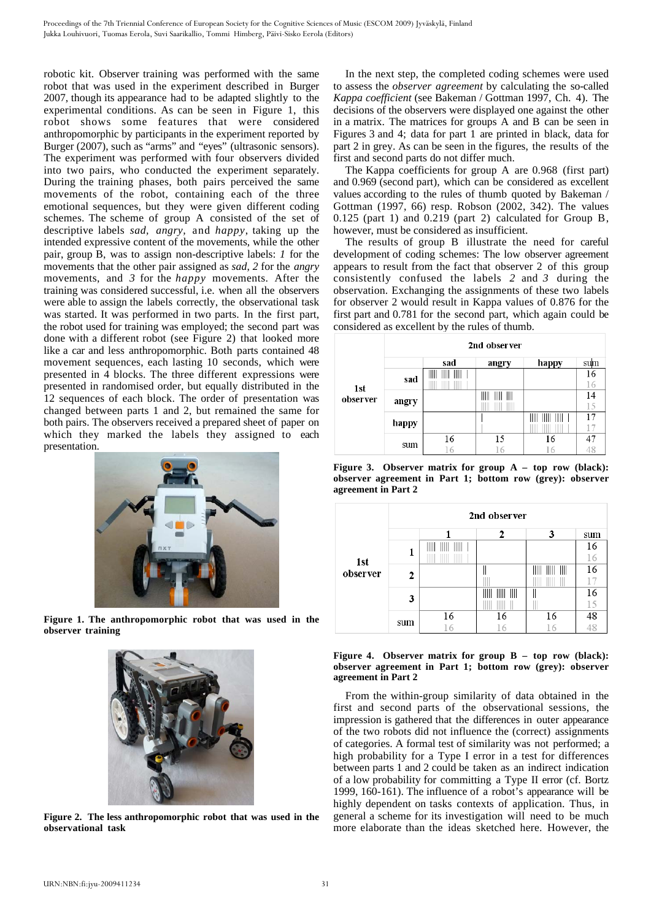robotic kit. Observer training was performed with the same robot that was used in the experiment described in Burger 2007, though its appearance had to be adapted slightly to the experimental conditions. As can be seen in Figure 1, this robot shows some features that were considered anthropomorphic by participants in the experiment reported by Burger (2007), such as "arms" and "eyes" (ultrasonic sensors). The experiment was performed with four observers divided into two pairs, who conducted the experiment separately. During the training phases, both pairs perceived the same movements of the robot, containing each of the three emotional sequences, but they were given different coding schemes. The scheme of group A consisted of the set of descriptive labels *sad, angry,* and *happy*, taking up the intended expressive content of the movements, while the other pair, group B, was to assign non-descriptive labels: *1* for the movements that the other pair assigned as *sad*, *2* for the *angry* movements, and *3* for the *happy* movements. After the training was considered successful, i.e. when all the observers were able to assign the labels correctly, the observational task was started. It was performed in two parts. In the first part, the robot used for training was employed; the second part was done with a different robot (see Figure 2) that looked more like a car and less anthropomorphic. Both parts contained 48 movement sequences, each lasting 10 seconds, which were presented in 4 blocks. The three different expressions were presented in randomised order, but equally distributed in the 12 sequences of each block. The order of presentation was changed between parts 1 and 2, but remained the same for both pairs. The observers received a prepared sheet of paper on which they marked the labels they assigned to each presentation.



**Figure 1. The anthropomorphic robot that was used in the observer training**



**Figure 2. The less anthropomorphic robot that was used in the observational task**

In the next step, the completed coding schemes were used to assess the *observer agreement* by calculating the so-called *Kappa coefficient* (see Bakeman / Gottman 1997, Ch. 4). The decisions of the observers were displayed one against the other in a matrix. The matrices for groups A and B can be seen in Figures 3 and 4; data for part 1 are printed in black, data for part 2 in grey. As can be seen in the figures, the results of the first and second parts do not differ much.

The Kappa coefficients for group A are 0.968 (first part) and 0.969 (second part), which can be considered as excellent values according to the rules of thumb quoted by Bakeman / Gottman (1997, 66) resp. Robson (2002, 342). The values 0.125 (part 1) and 0.219 (part 2) calculated for Group B, however, must be considered as insufficient.

The results of group B illustrate the need for careful development of coding schemes: The low observer agreement appears to result from the fact that observer 2 of this group consistently confused the labels *2* and *3* during the observation. Exchanging the assignments of these two labels for observer 2 would result in Kappa values of 0.876 for the first part and 0.781 for the second part, which again could be considered as excellent by the rules of thumb.

|                 | 2nd observer |     |        |       |     |  |  |
|-----------------|--------------|-----|--------|-------|-----|--|--|
| 1st<br>observer |              | sad | angry  | happy | sum |  |  |
|                 | sad          | Ⅲ   |        |       | 16  |  |  |
|                 |              |     |        |       | 16  |  |  |
|                 | angry        |     | Ш<br>Ⅲ |       | 14  |  |  |
|                 |              |     |        |       | 15  |  |  |
|                 | happy        |     |        |       | 17  |  |  |
|                 |              |     |        |       |     |  |  |
|                 | sum          | 16  | 15     | 16    | 47  |  |  |
|                 |              |     |        |       | 48  |  |  |

**Figure 3. Observer matrix for group A – top row (black): observer agreement in Part 1; bottom row (grey): observer agreement in Part 2**

|                 | 2nd observer |    |    |    |                 |  |  |
|-----------------|--------------|----|----|----|-----------------|--|--|
| 1st<br>observer |              |    | ,  | 3  | sum             |  |  |
|                 | 1            |    |    |    | 16              |  |  |
|                 |              |    |    |    | 16              |  |  |
|                 | 2            |    |    |    | 16              |  |  |
|                 |              |    |    |    | 17              |  |  |
|                 | 3            |    | Ⅲ  |    | 16              |  |  |
|                 |              |    |    |    | 15              |  |  |
|                 | sum          | 16 | 16 | 16 | $\frac{48}{48}$ |  |  |
|                 |              | 16 | 16 | 16 |                 |  |  |



From the within-group similarity of data obtained in the first and second parts of the observational sessions, the impression is gathered that the differences in outer appearance of the two robots did not influence the (correct) assignments of categories. A formal test of similarity was not performed; a high probability for a Type I error in a test for differences between parts 1 and 2 could be taken as an indirect indication of a low probability for committing a Type II error (cf. Bortz 1999, 160-161). The influence of a robot's appearance will be highly dependent on tasks contexts of application. Thus, in general a scheme for its investigation will need to be much more elaborate than the ideas sketched here. However, the